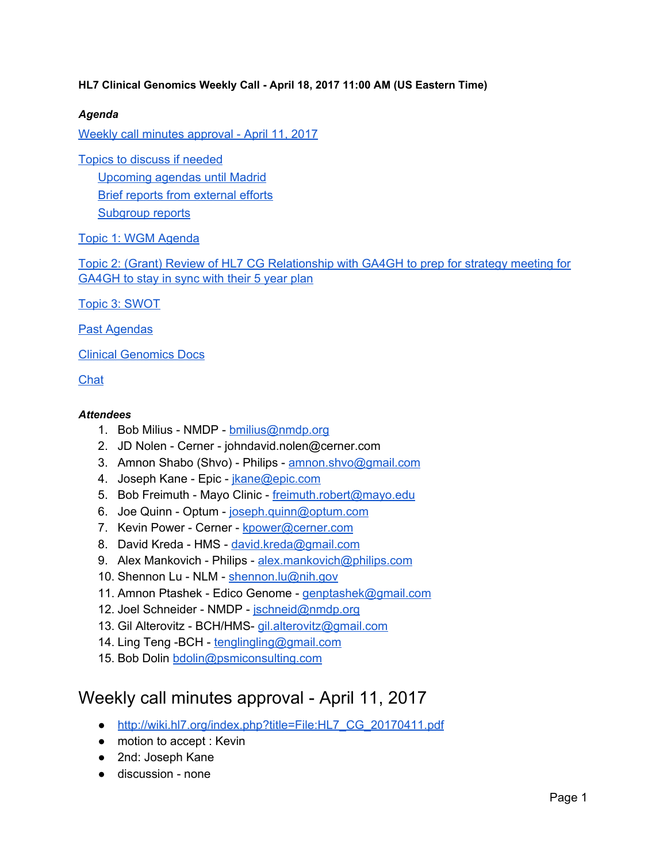#### **HL7 Clinical Genomics Weekly Call - April 18, 2017 11:00 AM (US Eastern Time)**

#### *Agenda*

Weekly call minutes [approval](#page-0-0) - April 11, 2017

Topics to discuss if [needed](#page-1-2) [Upcoming](#page-1-0) agendas until Madrid Brief reports from [external](#page-1-1) efforts [Subgroup](#page-1-3) reports

Topic 1: WGM [Agenda](#page-2-1)

Topic 2: (Grant) Review of HL7 CG Relationship with GA4GH to prep for strategy meeting for GA4GH to stay in sync with their 5 year plan

Topic 3: [SWOT](#page-2-0)

Past [Agendas](#page-3-0)

Clinical [Genomics](#page-3-1) Docs

**[Chat](#page-3-2)** 

#### *Attendees*

- 1. Bob Milius NMDP [bmilius@nmdp.org](mailto:bmilius@nmdp.org)
- 2. JD Nolen Cerner johndavid.nolen@cerner.com
- 3. Amnon Shabo (Shvo) Philips [amnon.shvo@gmail.com](mailto:amnon.shvo@gmail.com)
- 4. Joseph Kane Epic *[jkane@epic.com](mailto:jkane@epic.com)*
- 5. Bob Freimuth Mayo Clinic [freimuth.robert@mayo.edu](mailto:freimuth.robert@mayo.edu)
- 6. Joe Quinn Optum [joseph.quinn@optum.com](mailto:joseph.quinn@optum.com)
- 7. Kevin Power Cerner [kpower@cerner.com](mailto:kpower@cerner.com)
- 8. David Kreda HMS [david.kreda@gmail.com](mailto:david.kreda@gmail.com)
- 9. Alex Mankovich Philips [alex.mankovich@philips.com](mailto:alex.mankovich@philips.com)
- 10. Shennon Lu NLM [shennon.lu@nih.gov](mailto:shennon.lu@nih.gov)
- 11. Amnon Ptashek Edico Genome [genptashek@gmail.com](mailto:genptashek@gmail.com)
- 12. Joel Schneider NMDP [jschneid@nmdp.org](mailto:jschneid@nmdp.org)
- 13. Gil Alterovitz BCH/HMS- [gil.alterovitz@gmail.com](mailto:gil.alterovitz@gmail.com)
- 14. Ling Teng -BCH [tenglingling@gmail.com](mailto:tenglingling@gmail.com)
- 15. Bob Dolin [bdolin@psmiconsulting.com](mailto:bdolin@psmiconsulting.com)

## <span id="page-0-0"></span>Weekly call minutes approval - April 11, 2017

- [http://wiki.hl7.org/index.php?title=File:HL7\\_CG\\_20170411.pdf](http://wiki.hl7.org/index.php?title=File:HL7_CG_20170411.pdf)
- motion to accept : Kevin
- 2nd: Joseph Kane
- discussion none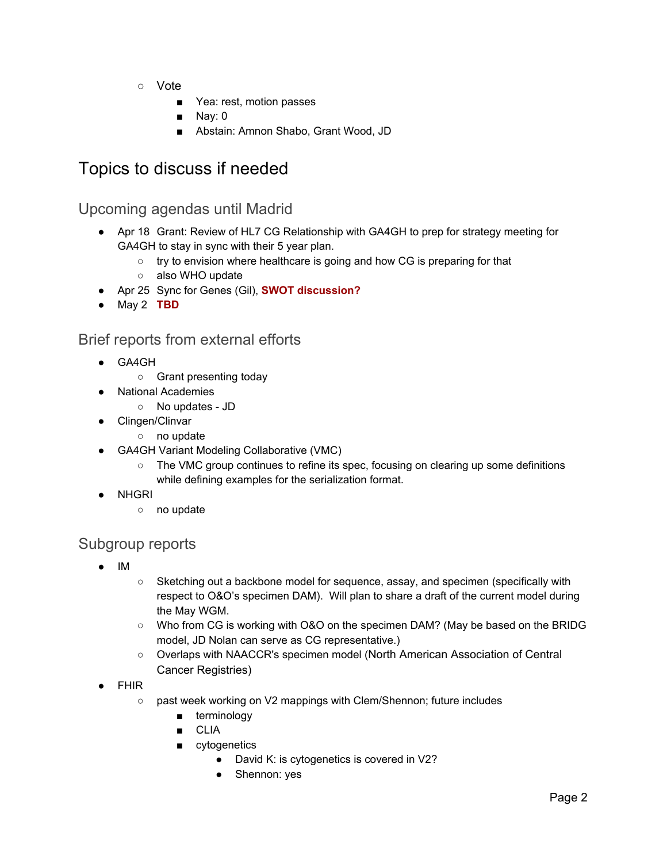- Vote
	- Yea: rest, motion passes
	- Nay: 0
	- Abstain: Amnon Shabo, Grant Wood, JD

# <span id="page-1-2"></span>Topics to discuss if needed

## <span id="page-1-0"></span>Upcoming agendas until Madrid

- Apr 18 Grant: Review of HL7 CG Relationship with GA4GH to prep for strategy meeting for GA4GH to stay in sync with their 5 year plan.
	- try to envision where healthcare is going and how CG is preparing for that
	- o also WHO update
- Apr 25 Sync for Genes (Gil), **SWOT discussion?**
- May 2 **TBD**

## <span id="page-1-1"></span>Brief reports from external efforts

- GA4GH
	- Grant presenting today
	- **National Academies** 
		- No updates JD
- Clingen/Clinvar
	- no update
- GA4GH Variant Modeling Collaborative (VMC)
	- The VMC group continues to refine its spec, focusing on clearing up some definitions while defining examples for the serialization format.
- NHGRI
	- no update

## <span id="page-1-3"></span>Subgroup reports

- IM
- Sketching out a backbone model for sequence, assay, and specimen (specifically with respect to O&O's specimen DAM). Will plan to share a draft of the current model during the May WGM.
- Who from CG is working with O&O on the specimen DAM? (May be based on the BRIDG model, JD Nolan can serve as CG representative.)
- Overlaps with NAACCR's specimen model (North American Association of Central Cancer Registries)
- FHIR
	- o past week working on V2 mappings with Clem/Shennon; future includes
		- terminology
		- CLIA
		- cytogenetics
			- David K: is cytogenetics is covered in V2?
			- Shennon: yes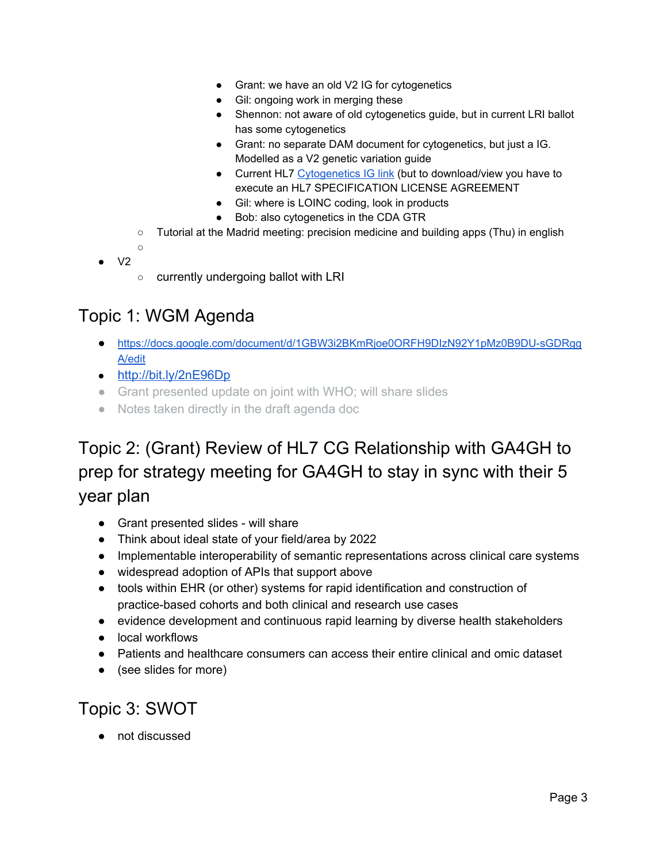- Grant: we have an old V2 IG for cytogenetics
- Gil: ongoing work in merging these
- Shennon: not aware of old cytogenetics guide, but in current LRI ballot has some cytogenetics
- Grant: no separate DAM document for cytogenetics, but just a IG. Modelled as a V2 genetic variation guide
- Current HL7 [Cytogenetics](http://www.hl7.org/implement/standards/product_brief.cfm?product_id=364) IG link (but to download/view you have to execute an HL7 SPECIFICATION LICENSE AGREEMENT
- Gil: where is LOINC coding, look in products
- Bob: also cytogenetics in the CDA GTR
- Tutorial at the Madrid meeting: precision medicine and building apps (Thu) in english
- 

○

- $V<sub>2</sub>$
- currently undergoing ballot with LRI

# <span id="page-2-1"></span>Topic 1: WGM Agenda

- [https://docs.google.com/document/d/1GBW3i2BKmRjoe0ORFH9DIzN92Y1pMz0B9DU-sGDRgg](https://docs.google.com/document/d/1GBW3i2BKmRjoe0ORFH9DIzN92Y1pMz0B9DU-sGDRggA/edit) [A/edit](https://docs.google.com/document/d/1GBW3i2BKmRjoe0ORFH9DIzN92Y1pMz0B9DU-sGDRggA/edit)
- <http://bit.ly/2nE96Dp>
- Grant presented update on joint with WHO; will share slides
- Notes taken directly in the draft agenda doc

# Topic 2: (Grant) Review of HL7 CG Relationship with GA4GH to prep for strategy meeting for GA4GH to stay in sync with their 5 year plan

- Grant presented slides will share
- Think about ideal state of your field/area by 2022
- Implementable interoperability of semantic representations across clinical care systems
- widespread adoption of APIs that support above
- tools within EHR (or other) systems for rapid identification and construction of practice-based cohorts and both clinical and research use cases
- evidence development and continuous rapid learning by diverse health stakeholders
- local workflows
- Patients and healthcare consumers can access their entire clinical and omic dataset
- (see slides for more)

# <span id="page-2-0"></span>Topic 3: SWOT

● not discussed